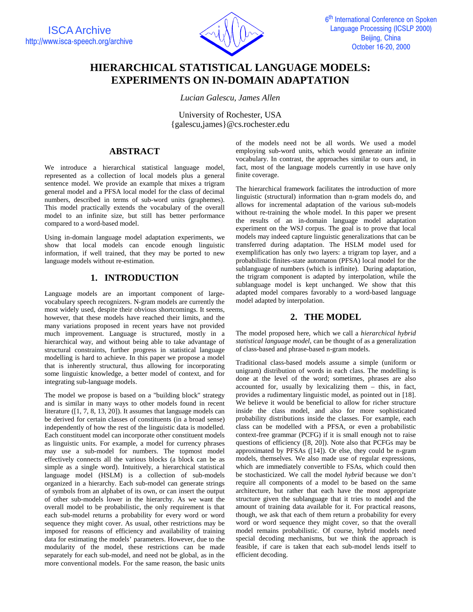

# **HIERARCHICAL STATISTICAL LANGUAGE MODELS: EXPERIMENTS ON IN-DOMAIN ADAPTATION**

*Lucian Galescu, James Allen* 

University of Rochester, USA {galescu,james}@cs.rochester.edu

## **ABSTRACT**

We introduce a hierarchical statistical language model, represented as a collection of local models plus a general sentence model. We provide an example that mixes a trigram general model and a PFSA local model for the class of decimal numbers, described in terms of sub-word units (graphemes). This model practically extends the vocabulary of the overall model to an infinite size, but still has better performance compared to a word-based model.

Using in-domain language model adaptation experiments, we show that local models can encode enough linguistic information, if well trained, that they may be ported to new language models without re-estimation.

## **1. INTRODUCTION**

Language models are an important component of largevocabulary speech recognizers. N-gram models are currently the most widely used, despite their obvious shortcomings. It seems, however, that these models have reached their limits, and the many variations proposed in recent years have not provided much improvement. Language is structured, mostly in a hierarchical way, and without being able to take advantage of structural constraints, further progress in statistical language modelling is hard to achieve. In this paper we propose a model that is inherently structural, thus allowing for incorporating some linguistic knowledge, a better model of context, and for integrating sub-language models.

The model we propose is based on a "building block" strategy and is similar in many ways to other models found in recent literature ([1, 7, 8, 13, 20]). It assumes that language models can be derived for certain classes of constituents (in a broad sense) independently of how the rest of the linguistic data is modelled. Each constituent model can incorporate other constituent models as linguistic units. For example, a model for currency phrases may use a sub-model for numbers. The topmost model effectively connects all the various blocks (a block can be as simple as a single word). Intuitively, a hierarchical statistical language model (HSLM) is a collection of sub-models organized in a hierarchy. Each sub-model can generate strings of symbols from an alphabet of its own, or can insert the output of other sub-models lower in the hierarchy. As we want the overall model to be probabilistic, the only requirement is that each sub-model returns a probability for every word or word sequence they might cover. As usual, other restrictions may be imposed for reasons of efficiency and availability of training data for estimating the models' parameters. However, due to the modularity of the model, these restrictions can be made separately for each sub-model, and need not be global, as in the more conventional models. For the same reason, the basic units

of the models need not be all words. We used a model employing sub-word units, which would generate an infinite vocabulary. In contrast, the approaches similar to ours and, in fact, most of the language models currently in use have only finite coverage.

The hierarchical framework facilitates the introduction of more linguistic (structural) information than n-gram models do, and allows for incremental adaptation of the various sub-models without re-training the whole model. In this paper we present the results of an in-domain language model adaptation experiment on the WSJ corpus. The goal is to prove that local models may indeed capture linguistic generalizations that can be transferred during adaptation. The HSLM model used for exemplification has only two layers: a trigram top layer, and a probabilistic finites-state automaton (PFSA) local model for the sublanguage of numbers (which is infinite). During adaptation, the trigram component is adapted by interpolation, while the sublanguage model is kept unchanged. We show that this adapted model compares favorably to a word-based language model adapted by interpolation.

## **2. THE MODEL**

The model proposed here, which we call a *hierarchical hybrid statistical language model*, can be thought of as a generalization of class-based and phrase-based n-gram models.

Traditional class-based models assume a simple (uniform or unigram) distribution of words in each class. The modelling is done at the level of the word; sometimes, phrases are also accounted for, usually by lexicalizing them – this, in fact, provides a rudimentary linguistic model, as pointed out in [18]. We believe it would be beneficial to allow for richer structure inside the class model, and also for more sophisticated probability distributions inside the classes. For example, each class can be modelled with a PFSA, or even a probabilistic context-free grammar (PCFG) if it is small enough not to raise questions of efficiency ([8, 20]). Note also that PCFGs may be approximated by PFSAs ([14]). Or else, they could be n-gram models, themselves. We also made use of regular expressions, which are immediately convertible to FSAs, which could then be stochasticized. We call the model *hybrid* because we don't require all components of a model to be based on the same architecture, but rather that each have the most appropriate structure given the sublanguage that it tries to model and the amount of training data available for it. For practical reasons, though, we ask that each of them return a probability for every word or word sequence they might cover, so that the overall model remains probabilistic. Of course, hybrid models need special decoding mechanisms, but we think the approach is feasible, if care is taken that each sub-model lends itself to efficient decoding.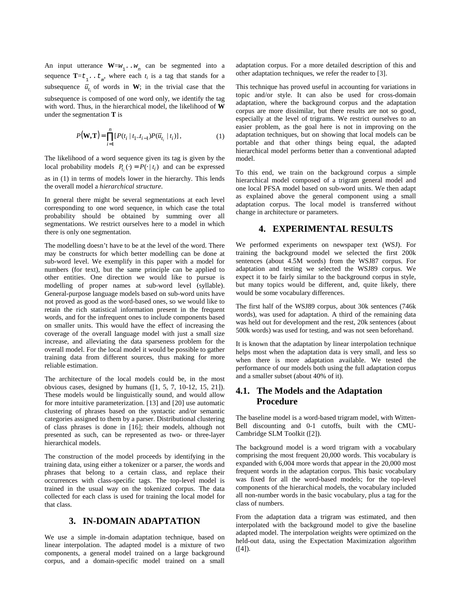An input utterance  $W = w_1 \cdot w_n$  can be segmented into a sequence  $\mathbf{T} = t_1 \cdot t_m$ , where each  $t_i$  is a tag that stands for a subsequence  $\overline{u}_{t_i}$  of words in W; in the trivial case that the subsequence is composed of one word only, we identify the tag with word. Thus, in the hierarchical model, the likelihood of **W** under the segmentation **T** is

$$
P(\mathbf{W}, \mathbf{T}) = \prod_{i=1}^{n} [P(t_i | t_1 \cdot t_{i-1}) P(\overline{u}_{t_i} | t_i)], \qquad (1)
$$

The likelihood of a word sequence given its tag is given by the local probability models  $P_{t_i}(\cdot) = P(\cdot | t_i)$  and can be expressed as in (1) in terms of models lower in the hierarchy. This lends the overall model a *hierarchical structure*.

In general there might be several segmentations at each level corresponding to one word sequence, in which case the total probability should be obtained by summing over all segmentations. We restrict ourselves here to a model in which there is only one segmentation.

The modelling doesn't have to be at the level of the word. There may be constructs for which better modelling can be done at sub-word level. We exemplify in this paper with a model for numbers (for text), but the same principle can be applied to other entities. One direction we would like to pursue is modelling of proper names at sub-word level (syllable). General-purpose language models based on sub-word units have not proved as good as the word-based ones, so we would like to retain the rich statistical information present in the frequent words, and for the infrequent ones to include components based on smaller units. This would have the effect of increasing the coverage of the overall language model with just a small size increase, and alleviating the data sparseness problem for the overall model. For the local model it would be possible to gather training data from different sources, thus making for more reliable estimation.

The architecture of the local models could be, in the most obvious cases, designed by humans ([1, 5, 7, 10-12, 15, 21]). These models would be linguistically sound, and would allow for more intuitive parameterization. [13] and [20] use automatic clustering of phrases based on the syntactic and/or semantic categories assigned to them by a parser. Distributional clustering of class phrases is done in [16]; their models, although not presented as such, can be represented as two- or three-layer hierarchical models.

The construction of the model proceeds by identifying in the training data, using either a tokenizer or a parser, the words and phrases that belong to a certain class, and replace their occurrences with class-specific tags. The top-level model is trained in the usual way on the tokenized corpus. The data collected for each class is used for training the local model for that class.

#### **3. IN-DOMAIN ADAPTATION**

We use a simple in-domain adaptation technique, based on linear interpolation. The adapted model is a mixture of two components, a general model trained on a large background corpus, and a domain-specific model trained on a small adaptation corpus. For a more detailed description of this and other adaptation techniques, we refer the reader to [3].

This technique has proved useful in accounting for variations in topic and/or style. It can also be used for cross-domain adaptation, where the background corpus and the adaptation corpus are more dissimilar, but there results are not so good, especially at the level of trigrams. We restrict ourselves to an easier problem, as the goal here is not in improving on the adaptation techniques, but on showing that local models can be portable and that other things being equal, the adapted hierarchical model performs better than a conventional adapted model.

To this end, we train on the background corpus a simple hierarchical model composed of a trigram general model and one local PFSA model based on sub-word units. We then adapt as explained above the general component using a small adaptation corpus. The local model is transferred without change in architecture or parameters.

## **4. EXPERIMENTAL RESULTS**

We performed experiments on newspaper text (WSJ). For training the background model we selected the first 200k sentences (about 4.5M words) from the WSJ87 corpus. For adaptation and testing we selected the WSJ89 corpus. We expect it to be fairly similar to the background corpus in style, but many topics would be different, and, quite likely, there would be some vocabulary differences.

The first half of the WSJ89 corpus, about 30k sentences (746k words), was used for adaptation. A third of the remaining data was held out for development and the rest, 20k sentences (about 500k words) was used for testing, and was not seen beforehand.

It is known that the adaptation by linear interpolation technique helps most when the adaptation data is very small, and less so when there is more adaptation available. We tested the performance of our models both using the full adaptation corpus and a smaller subset (about 40% of it).

#### **4.1. The Models and the Adaptation Procedure**

The baseline model is a word-based trigram model, with Witten-Bell discounting and 0-1 cutoffs, built with the CMU-Cambridge SLM Toolkit ([2]).

The background model is a word trigram with a vocabulary comprising the most frequent 20,000 words. This vocabulary is expanded with 6,004 more words that appear in the 20,000 most frequent words in the adaptation corpus. This basic vocabulary was fixed for all the word-based models; for the top-level components of the hierarchical models, the vocabulary included all non-number words in the basic vocabulary, plus a tag for the class of numbers.

From the adaptation data a trigram was estimated, and then interpolated with the background model to give the baseline adapted model. The interpolation weights were optimized on the held-out data, using the Expectation Maximization algorithm ([4]).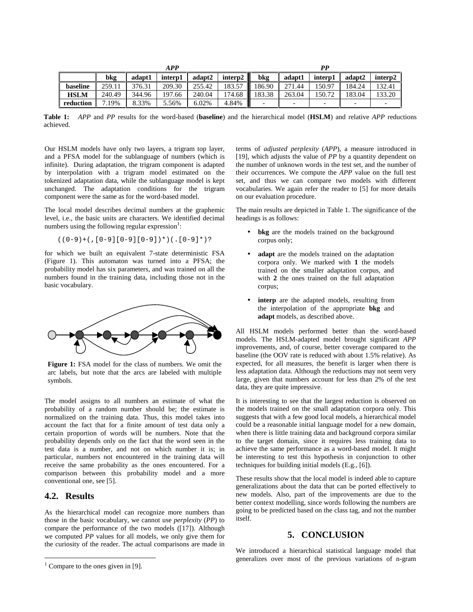|             |        |        | <b>APP</b> |        |                     |             |        | РP                       |        |                     |
|-------------|--------|--------|------------|--------|---------------------|-------------|--------|--------------------------|--------|---------------------|
|             | bkg    | adapt1 | interp1    | adapt2 | intern2 $\parallel$ | bkg         | adapt1 | inter <sub>p1</sub>      | adapt2 | inter <sub>p2</sub> |
| baseline    | 259.11 | 376.31 | 209.30     | 255.42 | 183.57<br>M         | 186.90      | 271.44 | 150.97                   | 184.24 | 132.41              |
| <b>HSLM</b> | 240.49 | 344.96 | 197.66     | 240.04 | 174.68              | 183.38<br>M | 263.04 | 150.72                   | 183.04 | 133.20              |
| reduction   | .19%   | 8.33%  | 5.56%      | 6.02%  | 4.84%               |             | -      | $\overline{\phantom{0}}$ |        |                     |

**Table 1:** *APP* and *PP* results for the word-based (**baseline**) and the hierarchical model (**HSLM**) and relative *APP* reductions achieved.

Our HSLM models have only two layers, a trigram top layer, and a PFSA model for the sublanguage of numbers (which is infinite). During adaptation, the trigram component is adapted by interpolation with a trigram model estimated on the tokenized adaptation data, while the sublanguage model is kept unchanged. The adaptation conditions for the trigram component were the same as for the word-based model.

The local model describes decimal numbers at the graphemic level, i.e., the basic units are characters. We identified decimal numbers using the following regular expression $\frac{1}{1}$ :

$$
((0-9)+(.0-9)[0-9][0-9])*)(.0-0)*(9-0*)
$$

for which we built an equivalent 7-state deterministic FSA (Figure 1). This automaton was turned into a PFSA; the probability model has six parameters, and was trained on all the numbers found in the training data, including those not in the basic vocabulary.



**Figure 1:** FSA model for the class of numbers. We omit the arc labels, but note that the arcs are labeled with multiple symbols.

The model assigns to all numbers an estimate of what the probability of a random number should be; the estimate is normalized on the training data. Thus, this model takes into account the fact that for a finite amount of test data only a certain proportion of words will be numbers. Note that the probability depends only on the fact that the word seen in the test data is a number, and not on which number it is; in particular, numbers not encountered in the training data will receive the same probability as the ones encountered. For a comparison between this probability model and a more conventional one, see [5].

#### **4.2. Results**

<u>.</u>

As the hierarchical model can recognize more numbers than those in the basic vocabulary, we cannot use *perplexity* (*PP*) to compare the performance of the two models ([17]). Although we computed *PP* values for all models, we only give them for the curiosity of the reader. The actual comparisons are made in terms of *adjusted perplexity* (*APP*), a measure introduced in [19], which adjusts the value of *PP* by a quantity dependent on the number of unknown words in the test set, and the number of their occurrences. We compute the *APP* value on the full test set, and thus we can compare two models with different vocabularies. We again refer the reader to [5] for more details on our evaluation procedure.

The main results are depicted in Table 1. The significance of the headings is as follows:

- bkg are the models trained on the background corpus only;
- adapt are the models trained on the adaptation corpora only. We marked with **1** the models trained on the smaller adaptation corpus, and with **2** the ones trained on the full adaptation corpus;
- **interp** are the adapted models, resulting from the interpolation of the appropriate **bkg** and **adapt** models, as described above.

All HSLM models performed better than the word-based models. The HSLM-adapted model brought significant *APP* improvements, and, of course, better coverage compared to the baseline (the OOV rate is reduced with about 1.5% relative). As expected, for all measures, the benefit is larger when there is less adaptation data. Although the reductions may not seem very large, given that numbers account for less than 2% of the test data, they are quite impressive.

It is interesting to see that the largest reduction is observed on the models trained on the small adaptation corpora only. This suggests that with a few good local models, a hierarchical model could be a reasonable initial language model for a new domain, when there is little training data and background corpora similar to the target domain, since it requires less training data to achieve the same performance as a word-based model. It might be interesting to test this hypothesis in conjunction to other techniques for building initial models (E.g., [6]).

These results show that the local model is indeed able to capture generalizations about the data that can be ported effectively to new models. Also, part of the improvements are due to the better context modelling, since words following the numbers are going to be predicted based on the class tag, and not the number itself.

### **5. CONCLUSION**

We introduced a hierarchical statistical language model that generalizes over most of the previous variations of n-gram

 $1$  Compare to the ones given in [9].